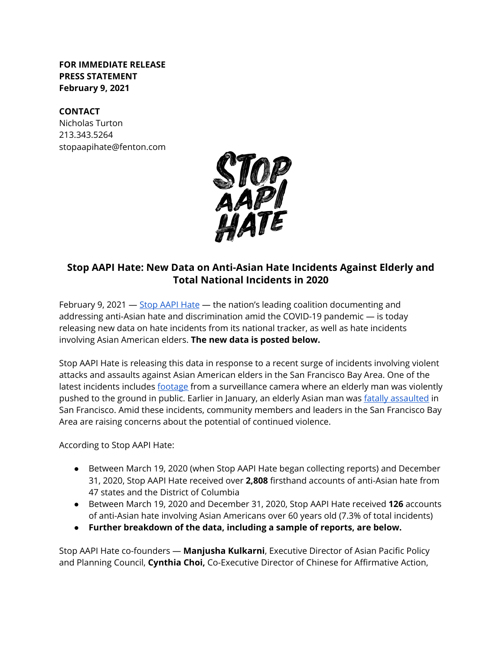**FOR IMMEDIATE RELEASE PRESS STATEMENT February 9, 2021**

#### **CONTACT**

Nicholas Turton 213.343.5264 stopaapihate@fenton.com



## **Stop AAPI Hate: New Data on Anti-Asian Hate Incidents Against Elderly and Total National Incidents in 2020**

February 9, 2021 — [Stop AAPI Hate](https://stopaapihate.org/) — the nation's leading coalition documenting and addressing anti-Asian hate and discrimination amid the COVID-19 pandemic — is today releasing new data on hate incidents from its national tracker, as well as hate incidents involving Asian American elders. **The new data is posted below.**

Stop AAPI Hate is releasing this data in response to a recent surge of incidents involving violent attacks and assaults against Asian American elders in the San Francisco Bay Area. One of the latest incidents includes [footage](https://abc7news.com/man-pushed-to-ground-in-oakland-violence-chinatown-robberies/10311111/) from a surveillance camera where an elderly man was violently pushed to the ground in public. Earlier in January, an elderly Asian man was [fatally assaulted](https://www.ktvu.com/news/family-of-84-year-old-killed-in-sf-believe-attack-was-racially-motivated) in San Francisco. Amid these incidents, community members and leaders in the San Francisco Bay Area are raising concerns about the potential of continued violence.

According to Stop AAPI Hate:

- Between March 19, 2020 (when Stop AAPI Hate began collecting reports) and December 31, 2020, Stop AAPI Hate received over **2,808** firsthand accounts of anti-Asian hate from 47 states and the District of Columbia
- Between March 19, 2020 and December 31, 2020, Stop AAPI Hate received **126** accounts of anti-Asian hate involving Asian Americans over 60 years old (7.3% of total incidents)
- **● Further breakdown of the data, including a sample of reports, are below.**

Stop AAPI Hate co-founders — **Manjusha Kulkarni**, Executive Director of Asian Pacific Policy and Planning Council, **Cynthia Choi,** Co-Executive Director of Chinese for Affirmative Action,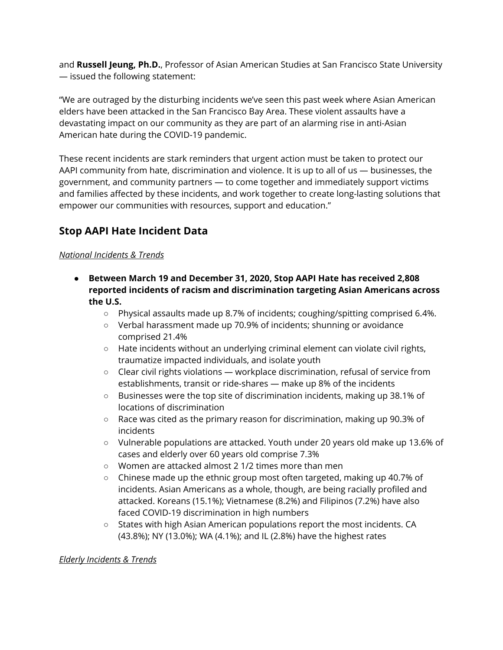and **Russell Jeung, Ph.D.**, Professor of Asian American Studies at San Francisco State University — issued the following statement:

"We are outraged by the disturbing incidents we've seen this past week where Asian American elders have been attacked in the San Francisco Bay Area. These violent assaults have a devastating impact on our community as they are part of an alarming rise in anti-Asian American hate during the COVID-19 pandemic.

These recent incidents are stark reminders that urgent action must be taken to protect our AAPI community from hate, discrimination and violence. It is up to all of us — businesses, the government, and community partners — to come together and immediately support victims and families affected by these incidents, and work together to create long-lasting solutions that empower our communities with resources, support and education."

# **Stop AAPI Hate Incident Data**

#### *National Incidents & Trends*

- **● Between March 19 and December 31, 2020, Stop AAPI Hate has received 2,808 reported incidents of racism and discrimination targeting Asian Americans across the U.S.**
	- Physical assaults made up 8.7% of incidents; coughing/spitting comprised 6.4%.
	- Verbal harassment made up 70.9% of incidents; shunning or avoidance comprised 21.4%
	- Hate incidents without an underlying criminal element can violate civil rights, traumatize impacted individuals, and isolate youth
	- Clear civil rights violations workplace discrimination, refusal of service from establishments, transit or ride-shares — make up 8% of the incidents
	- Businesses were the top site of discrimination incidents, making up 38.1% of locations of discrimination
	- Race was cited as the primary reason for discrimination, making up 90.3% of incidents
	- Vulnerable populations are attacked. Youth under 20 years old make up 13.6% of cases and elderly over 60 years old comprise 7.3%
	- Women are attacked almost 2 1/2 times more than men
	- Chinese made up the ethnic group most often targeted, making up 40.7% of incidents. Asian Americans as a whole, though, are being racially profiled and attacked. Koreans (15.1%); Vietnamese (8.2%) and Filipinos (7.2%) have also faced COVID-19 discrimination in high numbers
	- States with high Asian American populations report the most incidents. CA (43.8%); NY (13.0%); WA (4.1%); and IL (2.8%) have the highest rates

#### *Elderly Incidents & Trends*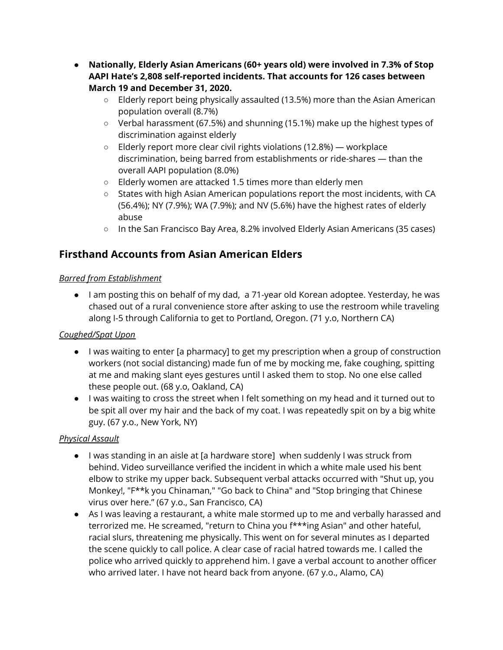- **● Nationally, Elderly Asian Americans (60+ years old) were involved in 7.3% of Stop AAPI Hate's 2,808 self-reported incidents. That accounts for 126 cases between March 19 and December 31, 2020.**
	- **○** Elderly report being physically assaulted (13.5%) more than the Asian American population overall (8.7%)
	- **○** Verbal harassment (67.5%) and shunning (15.1%) make up the highest types of discrimination against elderly
	- **○** Elderly report more clear civil rights violations (12.8%) workplace discrimination, being barred from establishments or ride-shares — than the overall AAPI population (8.0%)
	- Elderly women are attacked 1.5 times more than elderly men
	- States with high Asian American populations report the most incidents, with CA (56.4%); NY (7.9%); WA (7.9%); and NV (5.6%) have the highest rates of elderly abuse
	- **○** In the San Francisco Bay Area, 8.2% involved Elderly Asian Americans (35 cases)

# **Firsthand Accounts from Asian American Elders**

### *Barred from Establishment*

● I am posting this on behalf of my dad, a 71-year old Korean adoptee. Yesterday, he was chased out of a rural convenience store after asking to use the restroom while traveling along I-5 through California to get to Portland, Oregon. (71 y.o, Northern CA)

## *Coughed/Spat Upon*

- I was waiting to enter [a pharmacy] to get my prescription when a group of construction workers (not social distancing) made fun of me by mocking me, fake coughing, spitting at me and making slant eyes gestures until I asked them to stop. No one else called these people out. (68 y.o, Oakland, CA)
- I was waiting to cross the street when I felt something on my head and it turned out to be spit all over my hair and the back of my coat. I was repeatedly spit on by a big white guy. (67 y.o., New York, NY)

## *Physical Assault*

- I was standing in an aisle at [a hardware store] when suddenly I was struck from behind. Video surveillance verified the incident in which a white male used his bent elbow to strike my upper back. Subsequent verbal attacks occurred with "Shut up, you Monkey!, "F\*\*k you Chinaman," "Go back to China" and "Stop bringing that Chinese virus over here." (67 y.o., San Francisco, CA)
- As I was leaving a restaurant, a white male stormed up to me and verbally harassed and terrorized me. He screamed, "return to China you f\*\*\*ing Asian" and other hateful, racial slurs, threatening me physically. This went on for several minutes as I departed the scene quickly to call police. A clear case of racial hatred towards me. I called the police who arrived quickly to apprehend him. I gave a verbal account to another officer who arrived later. I have not heard back from anyone. (67 y.o., Alamo, CA)